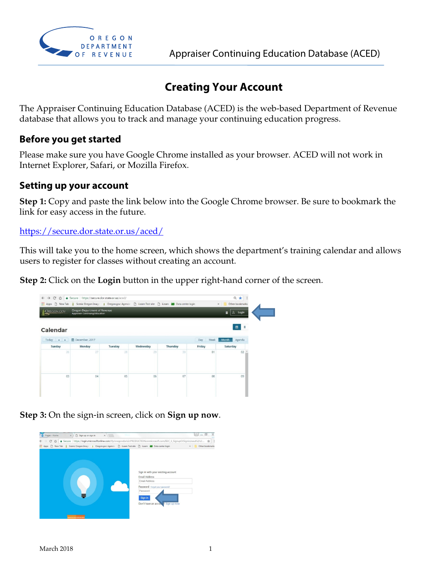

## **Creating Your Account**

The Appraiser Continuing Education Database (ACED) is the web-based Department of Revenue database that allows you to track and manage your continuing education progress.

## **Before you get started**

Please make sure you have Google Chrome installed as your browser. ACED will not work in Internet Explorer, Safari, or Mozilla Firefox.

## **Setting up your account**

**Step 1:** Copy and paste the link below into the Google Chrome browser. Be sure to bookmark the link for easy access in the future.

https://secure.dor.state.or.us/aced/

This will take you to the home screen, which shows the department's training calendar and allows users to register for classes without creating an account.

**Step 2:** Click on the **Login** button in the upper right-hand corner of the screen.



**Step 3:** On the sign-in screen, click on **Sign up now**.

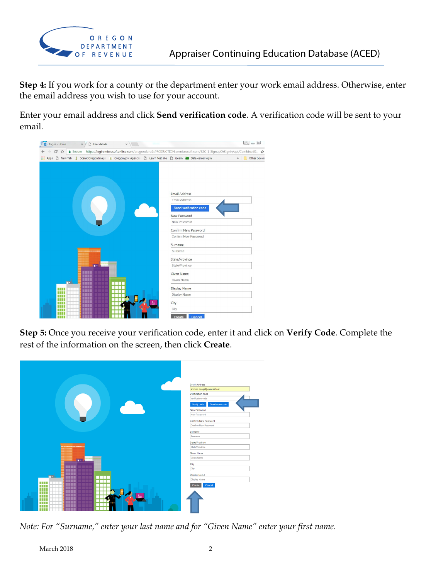

**Step 4:** If you work for a county or the department enter your work email address. Otherwise, enter the email address you wish to use for your account.

Enter your email address and click **Send verification code**. A verification code will be sent to your email.



**Step 5:** Once you receive your verification code, enter it and click on **Verify Code**. Complete the rest of the information on the screen, then click **Create**.



*Note: For "Surname," enter your last name and for "Given Name" enter your first name.*

March 2018 2